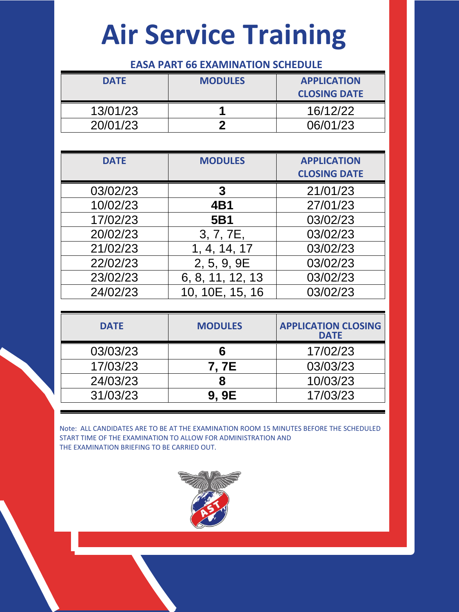### **EASA PART 66 EXAMINATION SCHEDULE**

| <b>DATE</b> | <b>MODULES</b> | <b>APPLICATION</b><br><b>CLOSING DATE</b> |
|-------------|----------------|-------------------------------------------|
| 13/01/23    |                | 16/12/22                                  |
| 20/01/23    |                | 06/01/23                                  |

| <b>DATE</b> | <b>MODULES</b>   | <b>APPLICATION</b>  |
|-------------|------------------|---------------------|
|             |                  | <b>CLOSING DATE</b> |
| 03/02/23    | 3                | 21/01/23            |
| 10/02/23    | 4B1              | 27/01/23            |
| 17/02/23    | 5B1              | 03/02/23            |
| 20/02/23    | 3, 7, 7E,        | 03/02/23            |
| 21/02/23    | 1, 4, 14, 17     | 03/02/23            |
| 22/02/23    | 2, 5, 9, 9E      | 03/02/23            |
| 23/02/23    | 6, 8, 11, 12, 13 | 03/02/23            |
| 24/02/23    | 10, 10E, 15, 16  | 03/02/23            |

| <b>DATE</b> | <b>MODULES</b> | <b>APPLICATION CLOSING</b><br><b>DATE</b> |
|-------------|----------------|-------------------------------------------|
| 03/03/23    |                | 17/02/23                                  |
| 17/03/23    | 7. 7E          | 03/03/23                                  |
| 24/03/23    |                | 10/03/23                                  |
| 31/03/23    | 9. 9E          | 17/03/23                                  |

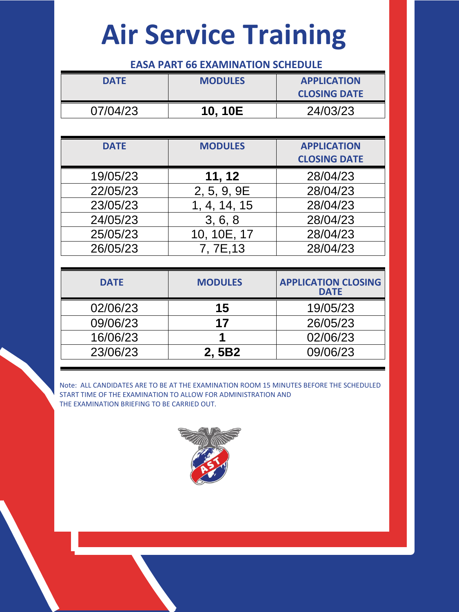#### **EASA PART 66 EXAMINATION SCHEDULE**

| <b>DATE</b> | <b>MODULES</b> | <b>APPLICATION</b><br><b>CLOSING DATE</b> |
|-------------|----------------|-------------------------------------------|
| 07/04/23    | 10.10E         | 24/03/23                                  |

| <b>DATE</b> | <b>MODULES</b> | <b>APPLICATION</b>  |
|-------------|----------------|---------------------|
|             |                | <b>CLOSING DATE</b> |
| 19/05/23    | 11, 12         | 28/04/23            |
| 22/05/23    | 2, 5, 9, 9E    | 28/04/23            |
| 23/05/23    | 1, 4, 14, 15   | 28/04/23            |
| 24/05/23    | 3, 6, 8        | 28/04/23            |
| 25/05/23    | 10, 10E, 17    | 28/04/23            |
| 26/05/23    | 7, 7E, 13      | 28/04/23            |

| <b>DATE</b> | <b>MODULES</b> | <b>APPLICATION CLOSING</b><br><b>DATE</b> |
|-------------|----------------|-------------------------------------------|
| 02/06/23    | 15             | 19/05/23                                  |
| 09/06/23    | 17             | 26/05/23                                  |
| 16/06/23    |                | 02/06/23                                  |
| 23/06/23    | 2.5B2          | 09/06/23                                  |

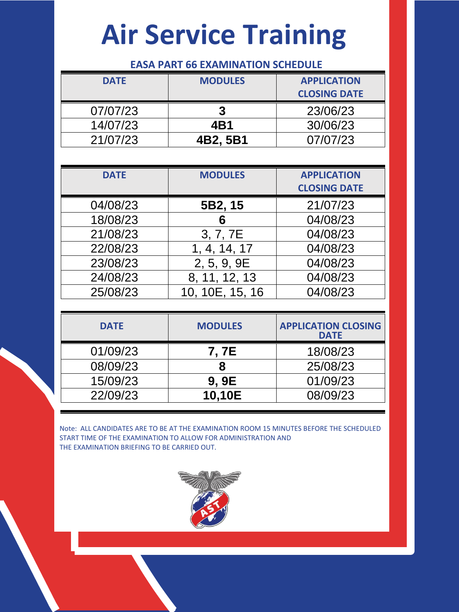#### **EASA PART 66 EXAMINATION SCHEDULE**

| <b>DATE</b> | <b>MODULES</b> | <b>APPLICATION</b>  |
|-------------|----------------|---------------------|
|             |                | <b>CLOSING DATE</b> |
| 07/07/23    |                | 23/06/23            |
| 14/07/23    | 4B1            | 30/06/23            |
| 21/07/23    | 4B2, 5B1       | 07/07/23            |

| <b>DATE</b> | <b>MODULES</b>  | <b>APPLICATION</b><br><b>CLOSING DATE</b> |
|-------------|-----------------|-------------------------------------------|
| 04/08/23    | 5B2, 15         | 21/07/23                                  |
| 18/08/23    | 6               | 04/08/23                                  |
| 21/08/23    | 3, 7, 7E        | 04/08/23                                  |
| 22/08/23    | 1, 4, 14, 17    | 04/08/23                                  |
| 23/08/23    | 2, 5, 9, 9E     | 04/08/23                                  |
| 24/08/23    | 8, 11, 12, 13   | 04/08/23                                  |
| 25/08/23    | 10, 10E, 15, 16 | 04/08/23                                  |

| <b>DATE</b> | <b>MODULES</b> | <b>APPLICATION CLOSING</b><br><b>DATE</b> |
|-------------|----------------|-------------------------------------------|
| 01/09/23    | 7, 7E          | 18/08/23                                  |
| 08/09/23    | 8              | 25/08/23                                  |
| 15/09/23    | 9.9E           | 01/09/23                                  |
| 22/09/23    | 10,10E         | 08/09/23                                  |